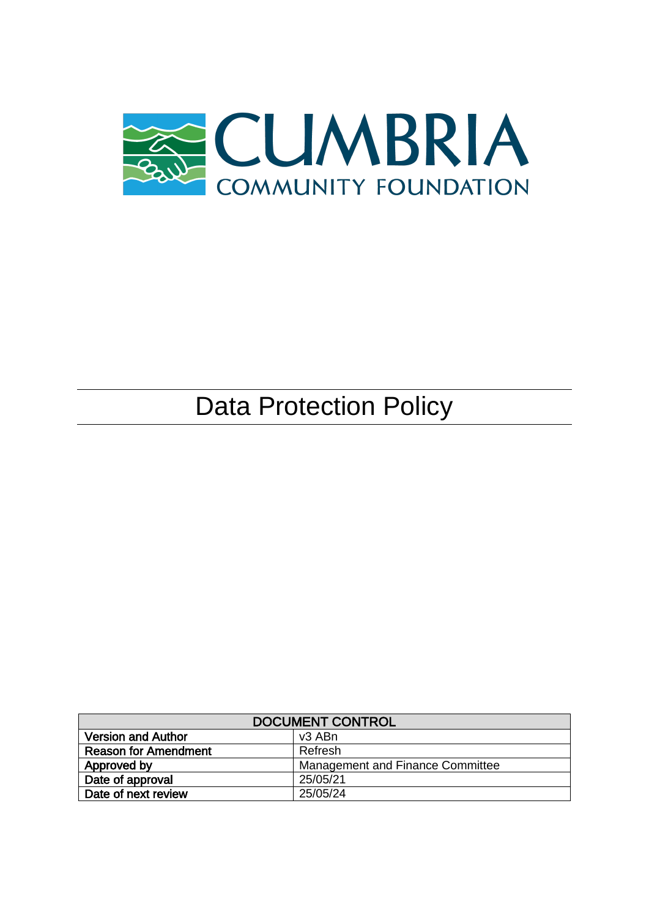

# Data Protection Policy

| <b>DOCUMENT CONTROL</b>     |                                  |
|-----------------------------|----------------------------------|
| <b>Version and Author</b>   | v <sub>3</sub> ABn               |
| <b>Reason for Amendment</b> | Refresh                          |
| Approved by                 | Management and Finance Committee |
| Date of approval            | 25/05/21                         |
| Date of next review         | 25/05/24                         |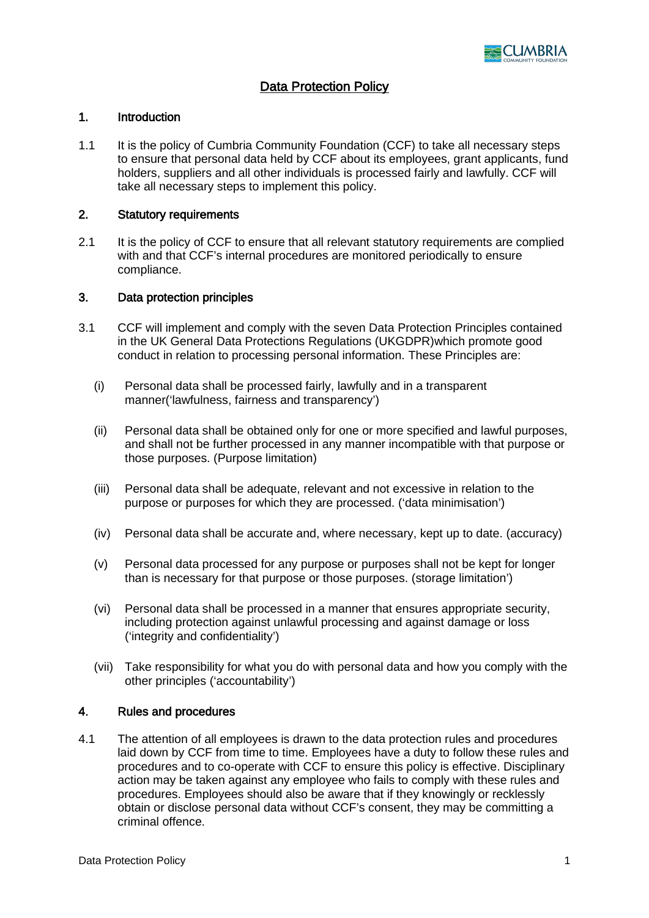

## Data Protection Policy

#### 1. Introduction

1.1 It is the policy of Cumbria Community Foundation (CCF) to take all necessary steps to ensure that personal data held by CCF about its employees, grant applicants, fund holders, suppliers and all other individuals is processed fairly and lawfully. CCF will take all necessary steps to implement this policy.

### 2. Statutory requirements

2.1 It is the policy of CCF to ensure that all relevant statutory requirements are complied with and that CCF's internal procedures are monitored periodically to ensure compliance.

#### 3. Data protection principles

- 3.1 CCF will implement and comply with the seven Data Protection Principles contained in the UK General Data Protections Regulations (UKGDPR)which promote good conduct in relation to processing personal information. These Principles are:
	- (i) Personal data shall be processed fairly, lawfully and in a transparent manner('lawfulness, fairness and transparency')
	- (ii) Personal data shall be obtained only for one or more specified and lawful purposes, and shall not be further processed in any manner incompatible with that purpose or those purposes. (Purpose limitation)
	- (iii) Personal data shall be adequate, relevant and not excessive in relation to the purpose or purposes for which they are processed. ('data minimisation')
	- (iv) Personal data shall be accurate and, where necessary, kept up to date. (accuracy)
	- (v) Personal data processed for any purpose or purposes shall not be kept for longer than is necessary for that purpose or those purposes. (storage limitation')
	- (vi) Personal data shall be processed in a manner that ensures appropriate security, including protection against unlawful processing and against damage or loss ('integrity and confidentiality')
	- (vii) Take responsibility for what you do with personal data and how you comply with the other principles ('accountability')

#### 4. Rules and procedures

4.1 The attention of all employees is drawn to the data protection rules and procedures laid down by CCF from time to time. Employees have a duty to follow these rules and procedures and to co-operate with CCF to ensure this policy is effective. Disciplinary action may be taken against any employee who fails to comply with these rules and procedures. Employees should also be aware that if they knowingly or recklessly obtain or disclose personal data without CCF's consent, they may be committing a criminal offence.